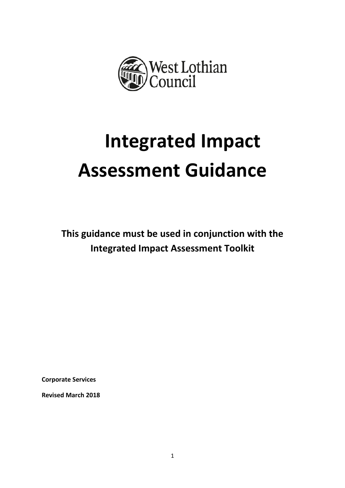

# **Integrated Impact Assessment Guidance**

**This guidance must be used in conjunction with the Integrated Impact Assessment Toolkit**

**Corporate Services**

**Revised March 2018**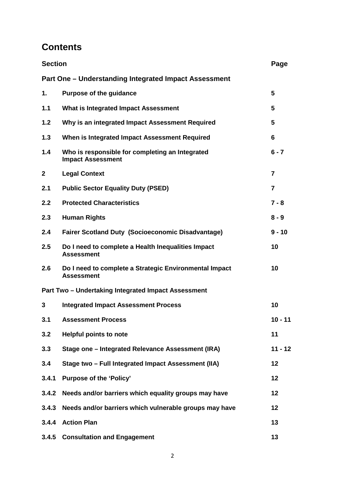# **Contents**

| <b>Section</b> |                                                                             | Page           |
|----------------|-----------------------------------------------------------------------------|----------------|
|                | Part One – Understanding Integrated Impact Assessment                       |                |
| 1.             | <b>Purpose of the guidance</b>                                              | $5\phantom{1}$ |
| 1.1            | What is Integrated Impact Assessment                                        | 5              |
| 1.2            | Why is an integrated Impact Assessment Required                             | 5              |
| 1.3            | When is Integrated Impact Assessment Required                               | 6              |
| 1.4            | Who is responsible for completing an Integrated<br><b>Impact Assessment</b> | $6 - 7$        |
| $\mathbf{2}$   | <b>Legal Context</b>                                                        | $\overline{7}$ |
| 2.1            | <b>Public Sector Equality Duty (PSED)</b>                                   | $\overline{7}$ |
| 2.2            | <b>Protected Characteristics</b>                                            | $7 - 8$        |
| 2.3            | <b>Human Rights</b>                                                         | $8 - 9$        |
| 2.4            | <b>Fairer Scotland Duty (Socioeconomic Disadvantage)</b>                    | $9 - 10$       |
| 2.5            | Do I need to complete a Health Inequalities Impact<br><b>Assessment</b>     | 10             |
| 2.6            | Do I need to complete a Strategic Environmental Impact<br><b>Assessment</b> | 10             |
|                | Part Two - Undertaking Integrated Impact Assessment                         |                |
| 3              | <b>Integrated Impact Assessment Process</b>                                 | 10             |
| 3.1            | <b>Assessment Process</b>                                                   | $10 - 11$      |
| 3.2            | <b>Helpful points to note</b>                                               | 11             |
| 3.3            | Stage one - Integrated Relevance Assessment (IRA)                           | $11 - 12$      |
| 3.4            | Stage two - Full Integrated Impact Assessment (IIA)                         | 12             |
| 3.4.1          | <b>Purpose of the 'Policy'</b>                                              | 12             |
| 3.4.2          | Needs and/or barriers which equality groups may have                        | 12             |
| 3.4.3          | Needs and/or barriers which vulnerable groups may have                      | 12             |
| 3.4.4          | <b>Action Plan</b>                                                          | 13             |
|                | 3.4.5 Consultation and Engagement                                           | 13             |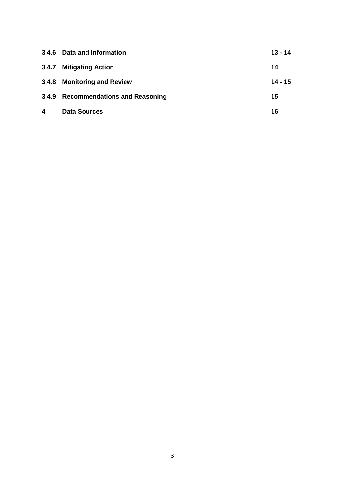| 3.4.6                   | Data and Information                | $13 - 14$ |
|-------------------------|-------------------------------------|-----------|
|                         | 3.4.7 Mitigating Action             | 14        |
|                         | 3.4.8 Monitoring and Review         | $14 - 15$ |
|                         | 3.4.9 Recommendations and Reasoning | 15        |
| $\overline{\mathbf{4}}$ | <b>Data Sources</b>                 | 16        |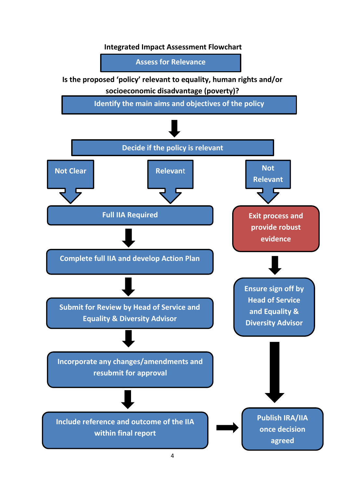## **Integrated Impact Assessment Flowchart**

**Assess for Relevance**

**Is the proposed 'policy' relevant to equality, human rights and/or socioeconomic disadvantage (poverty)?**

**Identify the main aims and objectives of the policy**

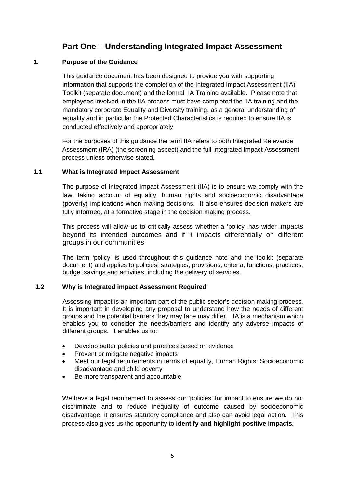## **Part One – Understanding Integrated Impact Assessment**

## **1. Purpose of the Guidance**

This guidance document has been designed to provide you with supporting information that supports the completion of the Integrated Impact Assessment (IIA) Toolkit (separate document) and the formal IIA Training available. Please note that employees involved in the IIA process must have completed the IIA training and the mandatory corporate Equality and Diversity training, as a general understanding of equality and in particular the Protected Characteristics is required to ensure IIA is conducted effectively and appropriately.

For the purposes of this guidance the term IIA refers to both Integrated Relevance Assessment (IRA) (the screening aspect) and the full Integrated Impact Assessment process unless otherwise stated.

## **1.1 What is Integrated Impact Assessment**

The purpose of Integrated Impact Assessment (IIA) is to ensure we comply with the law, taking account of equality, human rights and socioeconomic disadvantage (poverty) implications when making decisions. It also ensures decision makers are fully informed, at a formative stage in the decision making process.

This process will allow us to critically assess whether a 'policy' has wider impacts beyond its intended outcomes and if it impacts differentially on different groups in our communities.

The term 'policy' is used throughout this guidance note and the toolkit (separate document) and applies to policies, strategies, provisions, criteria, functions, practices, budget savings and activities, including the delivery of services.

## **1.2 Why is Integrated impact Assessment Required**

Assessing impact is an important part of the public sector's decision making process. It is important in developing any proposal to understand how the needs of different groups and the potential barriers they may face may differ. IIA is a mechanism which enables you to consider the needs/barriers and identify any adverse impacts of different groups. It enables us to:

- Develop better policies and practices based on evidence
- Prevent or mitigate negative impacts
- Meet our legal requirements in terms of equality, Human Rights, Socioeconomic disadvantage and child poverty
- Be more transparent and accountable

We have a legal requirement to assess our 'policies' for impact to ensure we do not discriminate and to reduce inequality of outcome caused by socioeconomic disadvantage, it ensures statutory compliance and also can avoid legal action. This process also gives us the opportunity to **identify and highlight positive impacts.**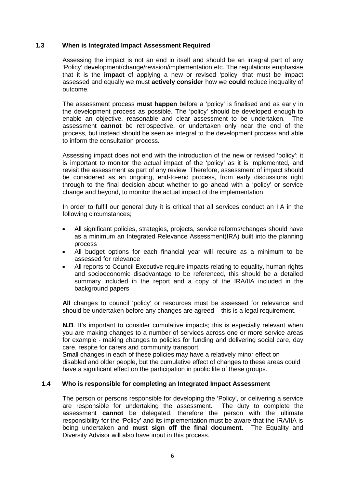## **1.3 When is Integrated Impact Assessment Required**

Assessing the impact is not an end in itself and should be an integral part of any 'Policy' development/change/revision/implementation etc. The regulations emphasise that it is the **impact** of applying a new or revised 'policy' that must be impact assessed and equally we must **actively consider** how we **could** reduce inequality of outcome.

The assessment process **must happen** before a 'policy' is finalised and as early in the development process as possible. The 'policy' should be developed enough to enable an objective, reasonable and clear assessment to be undertaken. The assessment **cannot** be retrospective, or undertaken only near the end of the process, but instead should be seen as integral to the development process and able to inform the consultation process.

Assessing impact does not end with the introduction of the new or revised 'policy'; it is important to monitor the actual impact of the 'policy' as it is implemented, and revisit the assessment as part of any review. Therefore, assessment of impact should be considered as an ongoing, end-to-end process, from early discussions right through to the final decision about whether to go ahead with a 'policy' or service change and beyond, to monitor the actual impact of the implementation.

In order to fulfil our general duty it is critical that all services conduct an IIA in the following circumstances;

- All significant policies, strategies, projects, service reforms/changes should have as a minimum an Integrated Relevance Assessment(IRA) built into the planning process
- All budget options for each financial year will require as a minimum to be assessed for relevance
- All reports to Council Executive require impacts relating to equality, human rights and socioeconomic disadvantage to be referenced, this should be a detailed summary included in the report and a copy of the IRA/IIA included in the background papers

**All** changes to council 'policy' or resources must be assessed for relevance and should be undertaken before any changes are agreed – this is a legal requirement.

**N.B.** It's important to consider cumulative impacts; this is especially relevant when you are making changes to a number of services across one or more service areas for example - making changes to policies for funding and delivering social care, day care, respite for carers and community transport.

Small changes in each of these policies may have a relatively minor effect on disabled and older people, but the cumulative effect of changes to these areas could have a significant effect on the participation in public life of these groups.

## **1.4 Who is responsible for completing an Integrated Impact Assessment**

The person or persons responsible for developing the 'Policy', or delivering a service are responsible for undertaking the assessment. The duty to complete the assessment **cannot** be delegated, therefore the person with the ultimate responsibility for the 'Policy' and its implementation must be aware that the IRA/IIA is being undertaken and **must sign off the final document**. The Equality and Diversity Advisor will also have input in this process.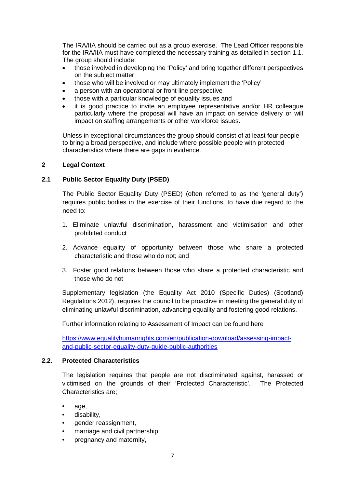The IRA/IIA should be carried out as a group exercise. The Lead Officer responsible for the IRA/IIA must have completed the necessary training as detailed in section 1.1. The group should include:

- those involved in developing the 'Policy' and bring together different perspectives on the subject matter
- those who will be involved or may ultimately implement the 'Policy'
- a person with an operational or front line perspective
- those with a particular knowledge of equality issues and
- it is good practice to invite an employee representative and/or HR colleague particularly where the proposal will have an impact on service delivery or will impact on staffing arrangements or other workforce issues.

Unless in exceptional circumstances the group should consist of at least four people to bring a broad perspective, and include where possible people with protected characteristics where there are gaps in evidence.

## **2 Legal Context**

## **2.1 Public Sector Equality Duty (PSED)**

The Public Sector Equality Duty (PSED) (often referred to as the 'general duty') requires public bodies in the exercise of their functions, to have due regard to the need to:

- 1. Eliminate unlawful discrimination, harassment and victimisation and other prohibited conduct
- 2. Advance equality of opportunity between those who share a protected characteristic and those who do not; and
- 3. Foster good relations between those who share a protected characteristic and those who do not

Supplementary legislation (the Equality Act 2010 (Specific Duties) (Scotland) Regulations 2012), requires the council to be proactive in meeting the general duty of eliminating unlawful discrimination, advancing equality and fostering good relations.

Further information relating to Assessment of Impact can be found here

[https://www.equalityhumanrights.com/en/publication-download/assessing-impact](https://www.equalityhumanrights.com/en/publication-download/assessing-impact-and-public-sector-equality-duty-guide-public-authorities)[and-public-sector-equality-duty-guide-public-authorities](https://www.equalityhumanrights.com/en/publication-download/assessing-impact-and-public-sector-equality-duty-guide-public-authorities)

## **2.2. Protected Characteristics**

The legislation requires that people are not discriminated against, harassed or victimised on the grounds of their 'Protected Characteristic'. The Protected Characteristics are;

- age,
- disability,
- gender reassignment,
- marriage and civil partnership,
- pregnancy and maternity,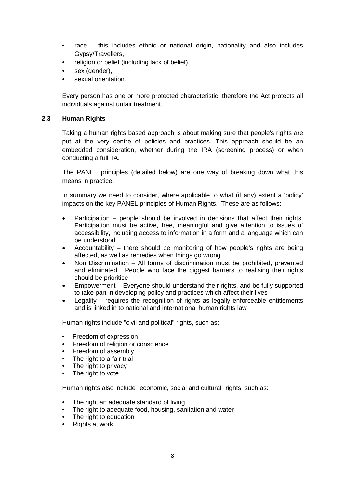- race this includes ethnic or national origin, nationality and also includes Gypsy/Travellers,
- religion or belief (including lack of belief).
- sex (gender),
- sexual orientation.

Every person has one or more protected characteristic; therefore the Act protects all individuals against unfair treatment.

## **2.3 Human Rights**

Taking a human rights based approach is about making sure that people's rights are put at the very centre of policies and practices. This approach should be an embedded consideration, whether during the IRA (screening process) or when conducting a full IIA.

The PANEL principles (detailed below) are one way of breaking down what this means in practice**.**

In summary we need to consider, where applicable to what (if any) extent a 'policy' impacts on the key PANEL principles of Human Rights. These are as follows:-

- Participation people should be involved in decisions that affect their rights. Participation must be active, free, meaningful and give attention to issues of accessibility, including access to information in a form and a language which can be understood
- Accountability there should be monitoring of how people's rights are being affected, as well as remedies when things go wrong
- Non Discrimination All forms of discrimination must be prohibited, prevented and eliminated. People who face the biggest barriers to realising their rights should be prioritise
- Empowerment Everyone should understand their rights, and be fully supported to take part in developing policy and practices which affect their lives
- Legality  $-$  requires the recognition of rights as legally enforceable entitlements and is linked in to national and international human rights law

Human rights include "civil and political" rights, such as:

- Freedom of expression
- Freedom of religion or conscience
- Freedom of assembly
- The right to a fair trial
- The right to privacy<br>• The right to yote
- The right to vote

Human rights also include "economic, social and cultural" rights, such as:

- The right an adequate standard of living
- The right to adequate food, housing, sanitation and water
- The right to education
- **Rights at work**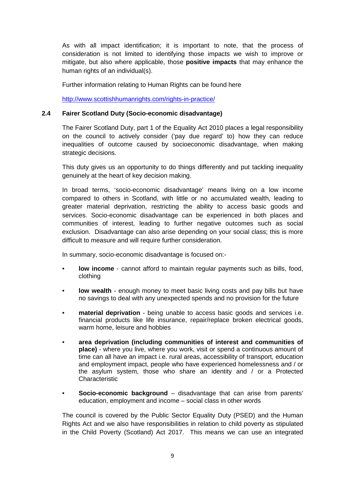As with all impact identification; it is important to note, that the process of consideration is not limited to identifying those impacts we wish to improve or mitigate, but also where applicable, those **positive impacts** that may enhance the human rights of an individual(s).

Further information relating to Human Rights can be found here

<http://www.scottishhumanrights.com/rights-in-practice/>

## **2.4 Fairer Scotland Duty (Socio-economic disadvantage)**

The Fairer Scotland Duty, part 1 of the Equality Act 2010 places a legal responsibility on the council to actively consider ('pay due regard' to) how they can reduce inequalities of outcome caused by socioeconomic disadvantage, when making strategic decisions.

This duty gives us an opportunity to do things differently and put tackling inequality genuinely at the heart of key decision making.

In broad terms, 'socio-economic disadvantage' means living on a low income compared to others in Scotland, with little or no accumulated wealth, leading to greater material deprivation, restricting the ability to access basic goods and services. Socio-economic disadvantage can be experienced in both places and communities of interest, leading to further negative outcomes such as social exclusion. Disadvantage can also arise depending on your social class; this is more difficult to measure and will require further consideration.

In summary, socio-economic disadvantage is focused on:-

- **low income** cannot afford to maintain regular payments such as bills, food, clothing
- **low wealth** enough money to meet basic living costs and pay bills but have no savings to deal with any unexpected spends and no provision for the future
- **material deprivation** being unable to access basic goods and services i.e. financial products like life insurance, repair/replace broken electrical goods, warm home, leisure and hobbies
- **area deprivation (including communities of interest and communities of place)** - where you live, where you work, visit or spend a continuous amount of time can all have an impact i.e. rural areas, accessibility of transport, education and employment impact, people who have experienced homelessness and / or the asylum system, those who share an identity and / or a Protected **Characteristic**
- **Socio-economic background** disadvantage that can arise from parents' education, employment and income – social class in other words

The council is covered by the Public Sector Equality Duty (PSED) and the Human Rights Act and we also have responsibilities in relation to child poverty as stipulated in the Child Poverty (Scotland) Act 2017. This means we can use an integrated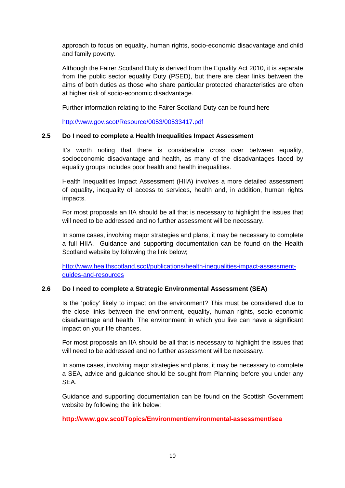approach to focus on equality, human rights, socio-economic disadvantage and child and family poverty.

Although the Fairer Scotland Duty is derived from the Equality Act 2010, it is separate from the public sector equality Duty (PSED), but there are clear links between the aims of both duties as those who share particular protected characteristics are often at higher risk of socio-economic disadvantage.

Further information relating to the Fairer Scotland Duty can be found here

<http://www.gov.scot/Resource/0053/00533417.pdf>

## **2.5 Do I need to complete a Health Inequalities Impact Assessment**

It's worth noting that there is considerable cross over between equality, socioeconomic disadvantage and health, as many of the disadvantages faced by equality groups includes poor health and health inequalities.

Health Inequalities Impact Assessment (HIIA) involves a more detailed assessment of equality, inequality of access to services, health and, in addition, human rights impacts.

For most proposals an IIA should be all that is necessary to highlight the issues that will need to be addressed and no further assessment will be necessary.

In some cases, involving major strategies and plans, it may be necessary to complete a full HIIA. Guidance and supporting documentation can be found on the Health Scotland website by following the link below;

[http://www.healthscotland.scot/publications/health-inequalities-impact-assessment](http://www.healthscotland.scot/publications/health-inequalities-impact-assessment-guides-and-resources)[guides-and-resources](http://www.healthscotland.scot/publications/health-inequalities-impact-assessment-guides-and-resources)

## **2.6 Do I need to complete a Strategic Environmental Assessment (SEA)**

Is the 'policy' likely to impact on the environment? This must be considered due to the close links between the environment, equality, human rights, socio economic disadvantage and health. The environment in which you live can have a significant impact on your life chances.

For most proposals an IIA should be all that is necessary to highlight the issues that will need to be addressed and no further assessment will be necessary.

In some cases, involving major strategies and plans, it may be necessary to complete a SEA, advice and guidance should be sought from Planning before you under any SEA.

Guidance and supporting documentation can be found on the Scottish Government website by following the link below;

## **http://www.gov.scot/Topics/Environment/environmental-assessment/sea**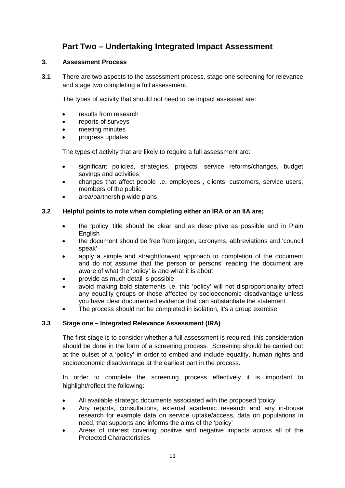## **Part Two – Undertaking Integrated Impact Assessment**

## **3. Assessment Process**

**3.1** There are two aspects to the assessment process, stage one screening for relevance and stage two completing a full assessment.

The types of activity that should not need to be impact assessed are:

- results from research
- reports of surveys
- meeting minutes
- progress updates

The types of activity that are likely to require a full assessment are:

- significant policies, strategies, projects, service reforms/changes, budget savings and activities
- changes that affect people i.e. employees , clients, customers, service users, members of the public
- area/partnership wide plans

## **3.2 Helpful points to note when completing either an IRA or an IIA are;**

- the 'policy' title should be clear and as descriptive as possible and in Plain English
- the document should be free from jargon, acronyms, abbreviations and 'council speak'
- apply a simple and straightforward approach to completion of the document and do not assume that the person or persons' reading the document are aware of what the 'policy' is and what it is about
- provide as much detail is possible
- avoid making bold statements i.e. this 'policy' will not disproportionality affect any equality groups or those affected by socioeconomic disadvantage unless you have clear documented evidence that can substantiate the statement
- The process should not be completed in isolation, it's a group exercise

## **3.3 Stage one – Integrated Relevance Assessment (IRA)**

The first stage is to consider whether a full assessment is required, this consideration should be done in the form of a screening process. Screening should be carried out at the outset of a 'policy' in order to embed and include equality, human rights and socioeconomic disadvantage at the earliest part in the process.

In order to complete the screening process effectively it is important to highlight/reflect the following:

- All available strategic documents associated with the proposed 'policy'
- Any reports, consultations, external academic research and any in-house research for example data on service uptake/access, data on populations in need, that supports and informs the aims of the 'policy'
- Areas of interest covering positive and negative impacts across all of the Protected Characteristics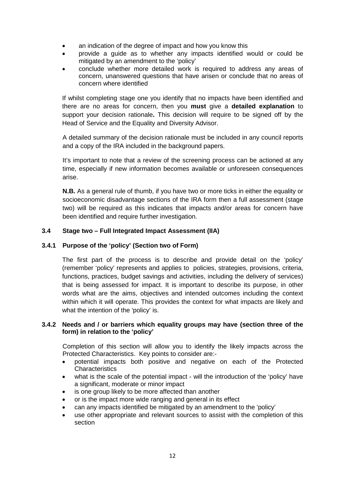- an indication of the degree of impact and how you know this
- provide a guide as to whether any impacts identified would or could be mitigated by an amendment to the 'policy'
- conclude whether more detailed work is required to address any areas of concern, unanswered questions that have arisen or conclude that no areas of concern where identified

If whilst completing stage one you identify that no impacts have been identified and there are no areas for concern, then you **must** give a **detailed explanation** to support your decision rationale**.** This decision will require to be signed off by the Head of Service and the Equality and Diversity Advisor.

A detailed summary of the decision rationale must be included in any council reports and a copy of the IRA included in the background papers.

It's important to note that a review of the screening process can be actioned at any time, especially if new information becomes available or unforeseen consequences arise.

**N.B.** As a general rule of thumb, if you have two or more ticks in either the equality or socioeconomic disadvantage sections of the IRA form then a full assessment (stage two) will be required as this indicates that impacts and/or areas for concern have been identified and require further investigation.

## **3.4 Stage two – Full Integrated Impact Assessment (IIA)**

## **3.4.1 Purpose of the 'policy' (Section two of Form)**

The first part of the process is to describe and provide detail on the 'policy' (remember 'policy' represents and applies to policies, strategies, provisions, criteria, functions, practices, budget savings and activities, including the delivery of services) that is being assessed for impact. It is important to describe its purpose, in other words what are the aims, objectives and intended outcomes including the context within which it will operate. This provides the context for what impacts are likely and what the intention of the 'policy' is.

## **3.4.2 Needs and / or barriers which equality groups may have (section three of the form) in relation to the 'policy'**

Completion of this section will allow you to identify the likely impacts across the Protected Characteristics. Key points to consider are:-

- potential impacts both positive and negative on each of the Protected **Characteristics**
- what is the scale of the potential impact will the introduction of the 'policy' have a significant, moderate or minor impact
- is one group likely to be more affected than another
- or is the impact more wide ranging and general in its effect
- can any impacts identified be mitigated by an amendment to the 'policy'
- use other appropriate and relevant sources to assist with the completion of this section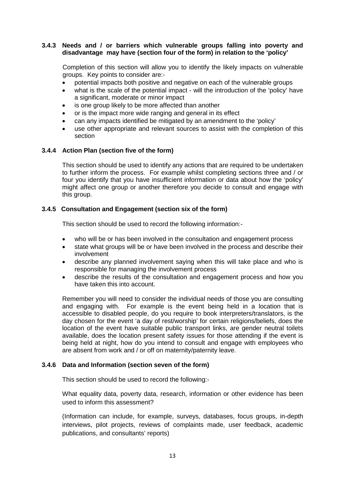## **3.4.3 Needs and / or barriers which vulnerable groups falling into poverty and disadvantage may have (section four of the form) in relation to the 'policy'**

Completion of this section will allow you to identify the likely impacts on vulnerable groups. Key points to consider are:-

- potential impacts both positive and negative on each of the vulnerable groups
- what is the scale of the potential impact will the introduction of the 'policy' have a significant, moderate or minor impact
- is one group likely to be more affected than another
- or is the impact more wide ranging and general in its effect
- can any impacts identified be mitigated by an amendment to the 'policy'
- use other appropriate and relevant sources to assist with the completion of this section

## **3.4.4 Action Plan (section five of the form)**

This section should be used to identify any actions that are required to be undertaken to further inform the process. For example whilst completing sections three and / or four you identify that you have insufficient information or data about how the 'policy' might affect one group or another therefore you decide to consult and engage with this group.

#### **3.4.5 Consultation and Engagement (section six of the form)**

This section should be used to record the following information:-

- who will be or has been involved in the consultation and engagement process
- state what groups will be or have been involved in the process and describe their involvement
- describe any planned involvement saying when this will take place and who is responsible for managing the involvement process
- describe the results of the consultation and engagement process and how you have taken this into account.

Remember you will need to consider the individual needs of those you are consulting and engaging with. For example is the event being held in a location that is accessible to disabled people, do you require to book interpreters/translators, is the day chosen for the event 'a day of rest/worship' for certain religions/beliefs, does the location of the event have suitable public transport links, are gender neutral toilets available, does the location present safety issues for those attending if the event is being held at night, how do you intend to consult and engage with employees who are absent from work and / or off on maternity/paternity leave.

#### **3.4.6 Data and Information (section seven of the form)**

This section should be used to record the following:-

What equality data, poverty data, research, information or other evidence has been used to inform this assessment?

(Information can include, for example, surveys, databases, focus groups, in-depth interviews, pilot projects, reviews of complaints made, user feedback, academic publications, and consultants' reports)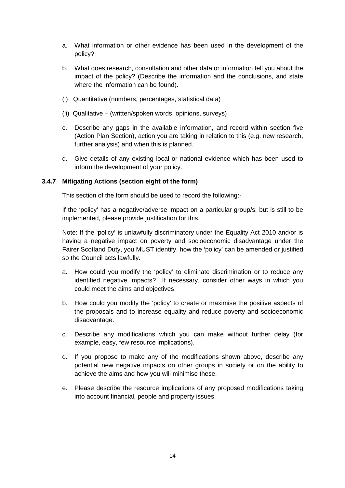- a. What information or other evidence has been used in the development of the policy?
- b. What does research, consultation and other data or information tell you about the impact of the policy? (Describe the information and the conclusions, and state where the information can be found).
- (i) Quantitative (numbers, percentages, statistical data)
- (ii) Qualitative (written/spoken words, opinions, surveys)
- c. Describe any gaps in the available information, and record within section five (Action Plan Section), action you are taking in relation to this (e.g. new research, further analysis) and when this is planned.
- d. Give details of any existing local or national evidence which has been used to inform the development of your policy.

## **3.4.7 Mitigating Actions (section eight of the form)**

This section of the form should be used to record the following:-

If the 'policy' has a negative/adverse impact on a particular group/s, but is still to be implemented, please provide justification for this.

Note: If the 'policy' is unlawfully discriminatory under the Equality Act 2010 and/or is having a negative impact on poverty and socioeconomic disadvantage under the Fairer Scotland Duty, you MUST identify, how the 'policy' can be amended or justified so the Council acts lawfully.

- a. How could you modify the 'policy' to eliminate discrimination or to reduce any identified negative impacts? If necessary, consider other ways in which you could meet the aims and objectives.
- b. How could you modify the 'policy' to create or maximise the positive aspects of the proposals and to increase equality and reduce poverty and socioeconomic disadvantage.
- c. Describe any modifications which you can make without further delay (for example, easy, few resource implications).
- d. If you propose to make any of the modifications shown above, describe any potential new negative impacts on other groups in society or on the ability to achieve the aims and how you will minimise these.
- e. Please describe the resource implications of any proposed modifications taking into account financial, people and property issues.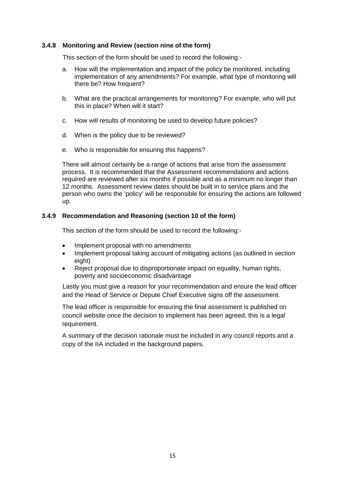## **3.4.8 Monitoring and Review (section nine of the form)**

This section of the form should be used to record the following:-

- a. How will the implementation and impact of the policy be monitored, including implementation of any amendments? For example, what type of monitoring will there be? How frequent?
- b. What are the practical arrangements for monitoring? For example, who will put this in place? When will it start?
- c. How will results of monitoring be used to develop future policies?
- d. When is the policy due to be reviewed?
- e. Who is responsible for ensuring this happens?

There will almost certainly be a range of actions that arise from the assessment process. It is recommended that the Assessment recommendations and actions required are reviewed after six months if possible and as a minimum no longer than 12 months. Assessment review dates should be built in to service plans and the person who owns the 'policy' will be responsible for ensuring the actions are followed up.

## **3.4.9 Recommendation and Reasoning (section 10 of the form)**

This section of the form should be used to record the following:-

- Implement proposal with no amendments
- Implement proposal taking account of mitigating actions (as outlined in section eight)
- Reject proposal due to disproportionate impact on equality, human rights, poverty and socioeconomic disadvantage

Lastly you must give a reason for your recommendation and ensure the lead officer and the Head of Service or Depute Chief Executive signs off the assessment.

The lead officer is responsible for ensuring the final assessment is published on council website once the decision to implement has been agreed, this is a legal requirement.

A summary of the decision rationale must be included in any council reports and a copy of the IIA included in the background papers.